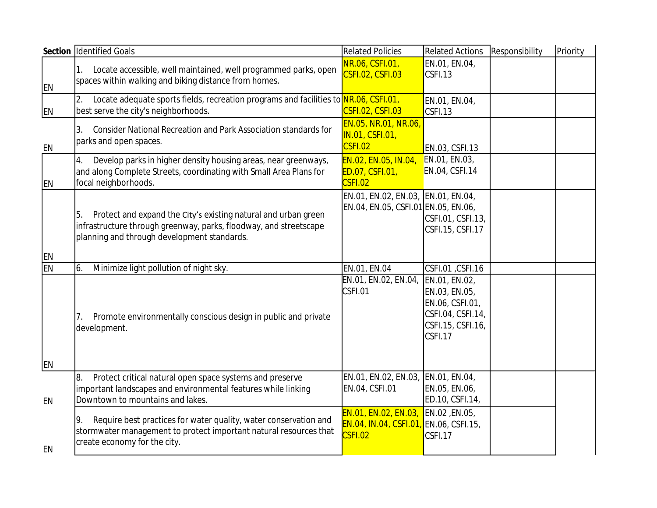|           | Section Identified Goals                                                                                                                                                                 | <b>Related Policies</b>                                                   | <b>Related Actions</b>                                                                                 | Responsibility | Priority |
|-----------|------------------------------------------------------------------------------------------------------------------------------------------------------------------------------------------|---------------------------------------------------------------------------|--------------------------------------------------------------------------------------------------------|----------------|----------|
| <b>EN</b> | Locate accessible, well maintained, well programmed parks, open<br>1.<br>spaces within walking and biking distance from homes.                                                           | NR.06, CSFI.01,<br>CSFI.02, CSFI.03                                       | EN.01, EN.04,<br>CSFI.13                                                                               |                |          |
| <b>EN</b> | Locate adequate sports fields, recreation programs and facilities to NR.06, CSFI.01,<br>best serve the city's neighborhoods.                                                             | CSFI.02, CSFI.03                                                          | EN.01, EN.04,<br>CSFI.13                                                                               |                |          |
| EN        | Consider National Recreation and Park Association standards for<br>3.<br>parks and open spaces.                                                                                          | EN.05, NR.01, NR.06,<br>IN.01, CSFI.01,<br>CSFI.02                        | EN.03, CSFI.13                                                                                         |                |          |
| EN        | Develop parks in higher density housing areas, near greenways,<br>4.<br>and along Complete Streets, coordinating with Small Area Plans for<br>focal neighborhoods.                       | EN.02, EN.05, IN.04,<br>ED.07, CSFI.01,<br>CSFI.02                        | EN.01, EN.03,<br>EN.04, CSFI.14                                                                        |                |          |
| <b>EN</b> | Protect and expand the City's existing natural and urban green<br>5.<br>infrastructure through greenway, parks, floodway, and streetscape<br>planning and through development standards. | EN.01, EN.02, EN.03, EN.01, EN.04,<br>EN.04, EN.05, CSFI.01 EN.05, EN.06, | CSFI.01, CSFI.13,<br>CSFI.15, CSFI.17                                                                  |                |          |
| EN        | Minimize light pollution of night sky.<br>6.                                                                                                                                             | EN.01, EN.04                                                              | CSFI.01, CSFI.16                                                                                       |                |          |
| EN        | Promote environmentally conscious design in public and private<br>7.<br>development.                                                                                                     | EN.01, EN.02, EN.04,<br>CSFI.01                                           | EN.01, EN.02,<br>EN.03, EN.05,<br>EN.06, CSFI.01,<br>CSFI.04, CSFI.14,<br>CSFI.15, CSFI.16,<br>CSFI.17 |                |          |
|           | Protect critical natural open space systems and preserve<br>8.                                                                                                                           | EN.01, EN.02, EN.03,                                                      | EN.01, EN.04,                                                                                          |                |          |
| EN        | important landscapes and environmental features while linking<br>Downtown to mountains and lakes.                                                                                        | EN.04, CSFI.01                                                            | EN.05, EN.06,<br>ED.10, CSFI.14,                                                                       |                |          |
| EN        | Require best practices for water quality, water conservation and<br>9.<br>stormwater management to protect important natural resources that<br>create economy for the city.              | EN.01, EN.02, EN.03,<br>EN.04, IN.04, CSFI.01,<br>CSFI.02                 | EN.02, EN.05,<br>EN.06, CSFI.15,<br>CSFI.17                                                            |                |          |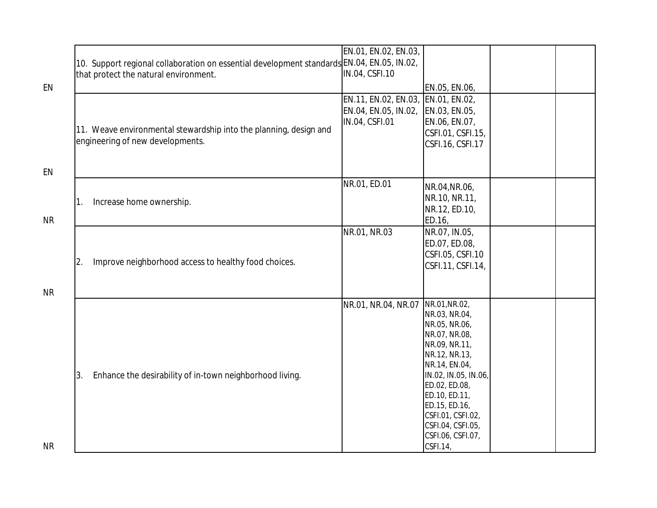|           |                                                                                            | EN.01, EN.02, EN.03,               |                      |  |
|-----------|--------------------------------------------------------------------------------------------|------------------------------------|----------------------|--|
|           | 10. Support regional collaboration on essential development standards EN.04, EN.05, IN.02, |                                    |                      |  |
|           | that protect the natural environment.                                                      | IN.04, CSFI.10                     |                      |  |
|           |                                                                                            |                                    |                      |  |
| EN        |                                                                                            |                                    | EN.05, EN.06,        |  |
|           |                                                                                            | EN.11, EN.02, EN.03, EN.01, EN.02, |                      |  |
|           |                                                                                            | EN.04, EN.05, IN.02,               | EN.03, EN.05,        |  |
|           |                                                                                            | IN.04, CSFI.01                     | EN.06, EN.07,        |  |
|           | 11. Weave environmental stewardship into the planning, design and                          |                                    | CSFI.01, CSFI.15,    |  |
|           | engineering of new developments.                                                           |                                    | CSFI.16, CSFI.17     |  |
|           |                                                                                            |                                    |                      |  |
|           |                                                                                            |                                    |                      |  |
| EN        |                                                                                            |                                    |                      |  |
|           |                                                                                            | NR.01, ED.01                       | NR.04, NR.06,        |  |
|           |                                                                                            |                                    |                      |  |
|           | Increase home ownership.<br>1.                                                             |                                    | NR.10, NR.11,        |  |
|           |                                                                                            |                                    | NR.12, ED.10,        |  |
| <b>NR</b> |                                                                                            |                                    | ED.16,               |  |
|           |                                                                                            | NR.01, NR.03                       | NR.07, IN.05,        |  |
|           |                                                                                            |                                    | ED.07, ED.08,        |  |
|           |                                                                                            |                                    | CSFI.05, CSFI.10     |  |
|           | Improve neighborhood access to healthy food choices.<br>2.                                 |                                    | CSFI.11, CSFI.14,    |  |
|           |                                                                                            |                                    |                      |  |
|           |                                                                                            |                                    |                      |  |
| <b>NR</b> |                                                                                            |                                    |                      |  |
|           |                                                                                            | NR.01, NR.04, NR.07                | NR.01, NR.02,        |  |
|           |                                                                                            |                                    | NR.03, NR.04,        |  |
|           |                                                                                            |                                    | NR.05, NR.06,        |  |
|           |                                                                                            |                                    | NR.07, NR.08,        |  |
|           |                                                                                            |                                    | NR.09, NR.11,        |  |
|           |                                                                                            |                                    | NR.12, NR.13,        |  |
|           |                                                                                            |                                    | NR.14, EN.04,        |  |
|           | Enhance the desirability of in-town neighborhood living.<br>3.                             |                                    | IN.02, IN.05, IN.06, |  |
|           |                                                                                            |                                    | ED.02, ED.08,        |  |
|           |                                                                                            |                                    | ED.10, ED.11,        |  |
|           |                                                                                            |                                    | ED.15, ED.16,        |  |
|           |                                                                                            |                                    | CSFI.01, CSFI.02,    |  |
|           |                                                                                            |                                    | CSFI.04, CSFI.05,    |  |
|           |                                                                                            |                                    | CSFI.06, CSFI.07,    |  |
| <b>NR</b> |                                                                                            |                                    | CSFI.14              |  |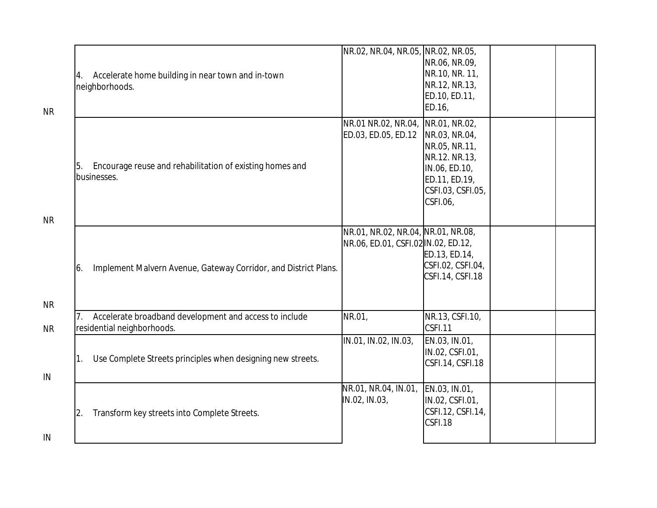| NR.02, NR.04, NR.05, NR.02, NR.05,<br>NR.06, NR.09,<br>NR.10, NR. 11,<br>Accelerate home building in near town and in-town<br>4.<br>NR.12, NR.13,<br>neighborhoods.<br>ED.10, ED.11,<br>ED.16,<br><b>NR</b><br>NR.01 NR.02, NR.04, NR.01, NR.02,<br>ED.03, ED.05, ED.12<br>NR.03, NR.04,<br>NR.05, NR.11,<br>NR.12. NR.13,<br>Encourage reuse and rehabilitation of existing homes and<br>5.<br>IN.06, ED.10,<br>businesses.<br>ED.11, ED.19,<br>CSFI.03, CSFI.05,<br>CSEI.06<br><b>NR</b><br>NR.01, NR.02, NR.04, NR.01, NR.08,<br>NR.06, ED.01, CSFI.02 IN.02, ED.12,<br>ED.13, ED.14,<br>CSFI.02, CSFI.04,<br>Implement Malvern Avenue, Gateway Corridor, and District Plans.<br>6.<br>CSFI.14, CSFI.18<br><b>NR</b><br>NR.01,<br>NR.13, CSFI.10,<br>Accelerate broadband development and access to include<br>residential neighborhoods.<br>CSEI.11<br><b>NR</b><br>IN.01, IN.02, IN.03,<br>EN.03, IN.01,<br>IN.02, CSFI.01,<br>Use Complete Streets principles when designing new streets.<br>CSFI.14, CSFI.18<br>IN |  |  |  |
|---------------------------------------------------------------------------------------------------------------------------------------------------------------------------------------------------------------------------------------------------------------------------------------------------------------------------------------------------------------------------------------------------------------------------------------------------------------------------------------------------------------------------------------------------------------------------------------------------------------------------------------------------------------------------------------------------------------------------------------------------------------------------------------------------------------------------------------------------------------------------------------------------------------------------------------------------------------------------------------------------------------------------|--|--|--|
|                                                                                                                                                                                                                                                                                                                                                                                                                                                                                                                                                                                                                                                                                                                                                                                                                                                                                                                                                                                                                           |  |  |  |
|                                                                                                                                                                                                                                                                                                                                                                                                                                                                                                                                                                                                                                                                                                                                                                                                                                                                                                                                                                                                                           |  |  |  |
|                                                                                                                                                                                                                                                                                                                                                                                                                                                                                                                                                                                                                                                                                                                                                                                                                                                                                                                                                                                                                           |  |  |  |
|                                                                                                                                                                                                                                                                                                                                                                                                                                                                                                                                                                                                                                                                                                                                                                                                                                                                                                                                                                                                                           |  |  |  |
|                                                                                                                                                                                                                                                                                                                                                                                                                                                                                                                                                                                                                                                                                                                                                                                                                                                                                                                                                                                                                           |  |  |  |
| NR.01, NR.04, IN.01, EN.03, IN.01,<br>IN.02, IN.03,<br>IN.02, CSFI.01,<br>CSFI.12, CSFI.14,<br>Transform key streets into Complete Streets.<br>$\overline{2}$ .<br>CSFI.18<br>IN                                                                                                                                                                                                                                                                                                                                                                                                                                                                                                                                                                                                                                                                                                                                                                                                                                          |  |  |  |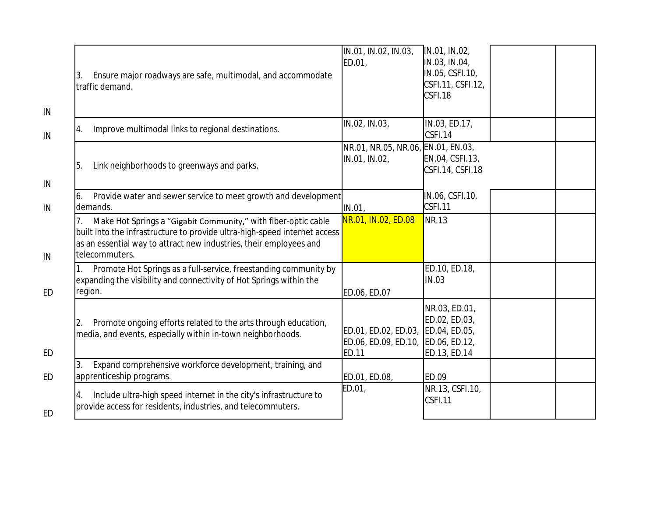| Ensure major roadways are safe, multimodal, and accommodate<br>3.<br>traffic demand.                                                                                                                                                | IN.01, IN.02, IN.03,<br>ED.01,                               | IN.01, IN.02,<br>IN.03, IN.04,<br>IN.05, CSFI.10,<br>CSFI.11, CSFI.12,<br>CSFI.18 |  |
|-------------------------------------------------------------------------------------------------------------------------------------------------------------------------------------------------------------------------------------|--------------------------------------------------------------|-----------------------------------------------------------------------------------|--|
| Improve multimodal links to regional destinations.<br>4.                                                                                                                                                                            | IN.02, IN.03,                                                | IN.03, ED.17,<br>CSFI.14                                                          |  |
| Link neighborhoods to greenways and parks.<br>5.                                                                                                                                                                                    | NR.01, NR.05, NR.06, EN.01, EN.03,<br>IN.01, IN.02,          | EN.04, CSFI.13,<br>CSFI.14, CSFI.18                                               |  |
| Provide water and sewer service to meet growth and development<br>6.<br>demands.                                                                                                                                                    | IN.01,                                                       | IN.06, CSFI.10,<br>CSEI.11                                                        |  |
| Make Hot Springs a "Gigabit Community," with fiber-optic cable<br>built into the infrastructure to provide ultra-high-speed internet access<br>as an essential way to attract new industries, their employees and<br>telecommuters. | NR.01, IN.02, ED.08                                          | NR.13                                                                             |  |
| Promote Hot Springs as a full-service, freestanding community by<br>expanding the visibility and connectivity of Hot Springs within the<br>region.                                                                                  | ED.06, ED.07                                                 | ED.10, ED.18,<br>IN.03                                                            |  |
| Promote ongoing efforts related to the arts through education,<br>media, and events, especially within in-town neighborhoods.                                                                                                       | ED.01, ED.02, ED.03,<br>ED.06, ED.09, ED.10,<br><b>ED.11</b> | NR.03, ED.01,<br>ED.02, ED.03,<br>ED.04, ED.05,<br>ED.06, ED.12,<br>ED.13, ED.14  |  |
| Expand comprehensive workforce development, training, and<br>3.<br>apprenticeship programs.                                                                                                                                         | ED.01, ED.08,                                                | ED.09                                                                             |  |
| Include ultra-high speed internet in the city's infrastructure to<br>4.<br>provide access for residents, industries, and telecommuters.                                                                                             | ED.01,                                                       | NR.13, CSFI.10,<br>CSFI.11                                                        |  |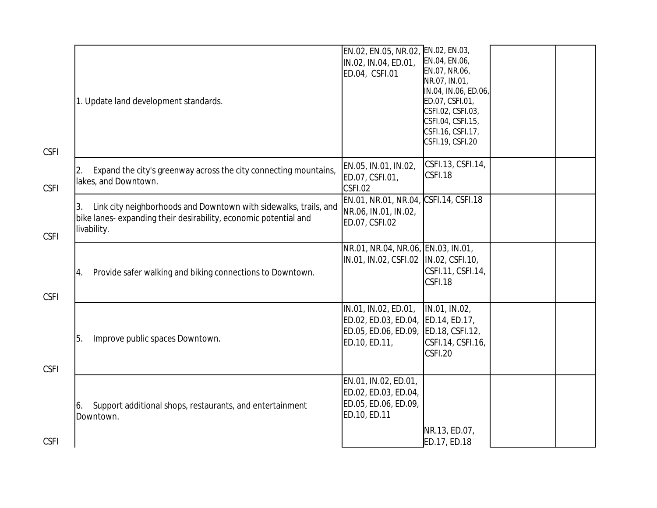| <b>CSFI</b> | 1. Update land development standards.                                                                                                                     | EN.02, EN.05, NR.02,<br>IN.02, IN.04, ED.01,<br>ED.04, CSFI.01                                      | EN.02, EN.03,<br>EN.04, EN.06,<br>EN.07, NR.06,<br>NR.07, IN.01,<br>IN.04, IN.06, ED.06,<br>ED.07, CSFI.01,<br>CSFI.02, CSFI.03,<br>CSFI.04, CSFI.15,<br>CSFI.16, CSFI.17,<br>CSFI.19, CSFI.20 |  |
|-------------|-----------------------------------------------------------------------------------------------------------------------------------------------------------|-----------------------------------------------------------------------------------------------------|------------------------------------------------------------------------------------------------------------------------------------------------------------------------------------------------|--|
| <b>CSFI</b> | Expand the city's greenway across the city connecting mountains,<br>2.<br>lakes, and Downtown.                                                            | EN.05, IN.01, IN.02,<br>ED.07, CSFI.01,<br>CSFI.02                                                  | CSFI.13, CSFI.14,<br>CSFI.18                                                                                                                                                                   |  |
| <b>CSFI</b> | Link city neighborhoods and Downtown with sidewalks, trails, and<br>3.<br>bike lanes- expanding their desirability, economic potential and<br>livability. | EN.01, NR.01, NR.04, CSFI.14, CSFI.18<br>NR.06, IN.01, IN.02,<br>ED.07, CSFI.02                     |                                                                                                                                                                                                |  |
| <b>CSFI</b> | Provide safer walking and biking connections to Downtown.<br>4.                                                                                           | NR.01, NR.04, NR.06, EN.03, IN.01,<br>IN.01, IN.02, CSFI.02  IN.02, CSFI.10,                        | CSFI.11, CSFI.14,<br>CSFI.18                                                                                                                                                                   |  |
| <b>CSFI</b> | Improve public spaces Downtown.<br>5.                                                                                                                     | IN.01, IN.02, ED.01,<br>ED.02, ED.03, ED.04, ED.14, ED.17,<br>ED.05, ED.06, ED.09,<br>ED.10, ED.11, | IN.01, IN.02,<br>ED.18, CSFI.12,<br>CSFI.14, CSFI.16,<br>CSFI.20                                                                                                                               |  |
| <b>CSFI</b> | Support additional shops, restaurants, and entertainment<br>6.<br>Downtown.                                                                               | EN.01, IN.02, ED.01,<br>ED.02, ED.03, ED.04,<br>ED.05, ED.06, ED.09,<br>ED.10, ED.11                | NR.13, ED.07,<br>ED.17, ED.18                                                                                                                                                                  |  |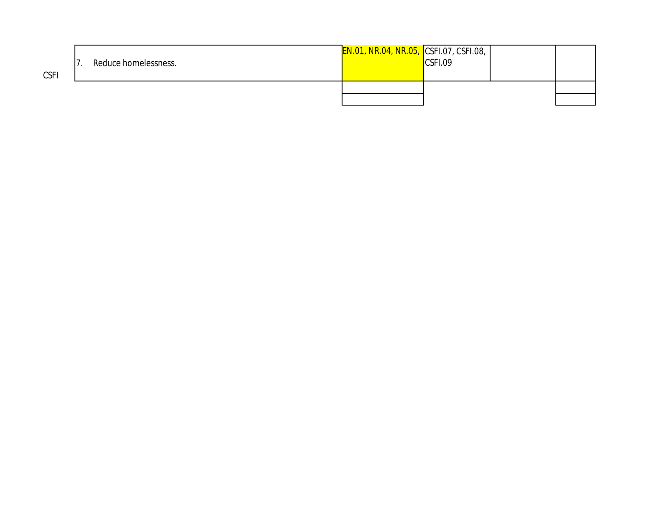| <b>CSFI</b> | Reduce homelessness. | <b>EN.01, NR.04, NR.05, CSFI.07, CSFI.08, I</b> | CSFI.09 |  |
|-------------|----------------------|-------------------------------------------------|---------|--|
|             |                      |                                                 |         |  |
|             |                      |                                                 |         |  |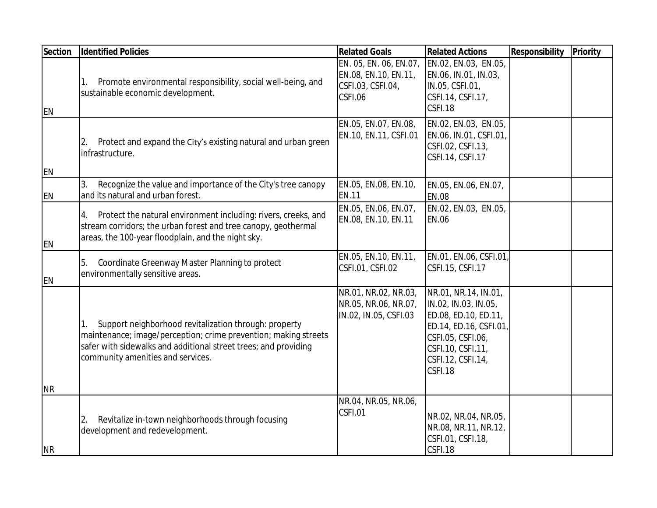| Section        | <b>Identified Policies</b>                                                                                                                                                                                                             | <b>Related Goals</b>                                                                                | <b>Related Actions</b>                                                                                                                                                  | Responsibility | Priority |
|----------------|----------------------------------------------------------------------------------------------------------------------------------------------------------------------------------------------------------------------------------------|-----------------------------------------------------------------------------------------------------|-------------------------------------------------------------------------------------------------------------------------------------------------------------------------|----------------|----------|
| <b>EN</b>      | Promote environmental responsibility, social well-being, and<br>1.<br>sustainable economic development.                                                                                                                                | EN. 05, EN. 06, EN.07, EN.02, EN.03, EN.05,<br>EN.08, EN.10, EN.11,<br>CSFI.03, CSFI.04,<br>CSFI.06 | EN.06, IN.01, IN.03,<br>IN.05, CSFI.01,<br>CSFI.14, CSFI.17,<br>CSFI.18                                                                                                 |                |          |
| <b>EN</b>      | Protect and expand the City's existing natural and urban green<br>infrastructure.                                                                                                                                                      | EN.05, EN.07, EN.08,<br>EN.10, EN.11, CSFI.01                                                       | EN.02, EN.03, EN.05,<br>EN.06, IN.01, CSFI.01,<br>CSFI.02, CSFI.13,<br>CSFI.14, CSFI.17                                                                                 |                |          |
| <b>EN</b>      | Recognize the value and importance of the City's tree canopy<br>3.<br>and its natural and urban forest.                                                                                                                                | EN.05, EN.08, EN.10,<br><b>IEN.11</b>                                                               | EN.05, EN.06, EN.07,<br><b>EN.08</b>                                                                                                                                    |                |          |
| <b>EN</b>      | Protect the natural environment including: rivers, creeks, and<br>4.<br>stream corridors; the urban forest and tree canopy, geothermal<br>areas, the 100-year floodplain, and the night sky.                                           | EN.05, EN.06, EN.07,<br>EN.08, EN.10, EN.11                                                         | EN.02, EN.03, EN.05,<br><b>EN.06</b>                                                                                                                                    |                |          |
| <b>EN</b>      | Coordinate Greenway Master Planning to protect<br>5.<br>environmentally sensitive areas.                                                                                                                                               | EN.05, EN.10, EN.11,<br>CSFI.01, CSFI.02                                                            | EN.01, EN.06, CSFI.01<br>CSFI.15, CSFI.17                                                                                                                               |                |          |
| <b>NR</b>      | Support neighborhood revitalization through: property<br>1.<br>maintenance; image/perception; crime prevention; making streets<br>safer with sidewalks and additional street trees; and providing<br>community amenities and services. | NR.01, NR.02, NR.03,<br>NR.05, NR.06, NR.07,<br>IN.02, IN.05, CSFI.03                               | NR.01, NR.14, IN.01,<br>IN.02, IN.03, IN.05,<br>ED.08, ED.10, ED.11,<br>ED.14, ED.16, CSFI.01<br>CSFI.05, CSFI.06,<br>CSFI.10, CSFI.11,<br>CSFI.12, CSFI.14,<br>CSFI.18 |                |          |
| N <sub>R</sub> | Revitalize in-town neighborhoods through focusing<br>2.<br>development and redevelopment.                                                                                                                                              | NR.04, NR.05, NR.06,<br>CSFI.01                                                                     | NR.02, NR.04, NR.05,<br>NR.08, NR.11, NR.12,<br>CSFI.01, CSFI.18,<br>CSFI.18                                                                                            |                |          |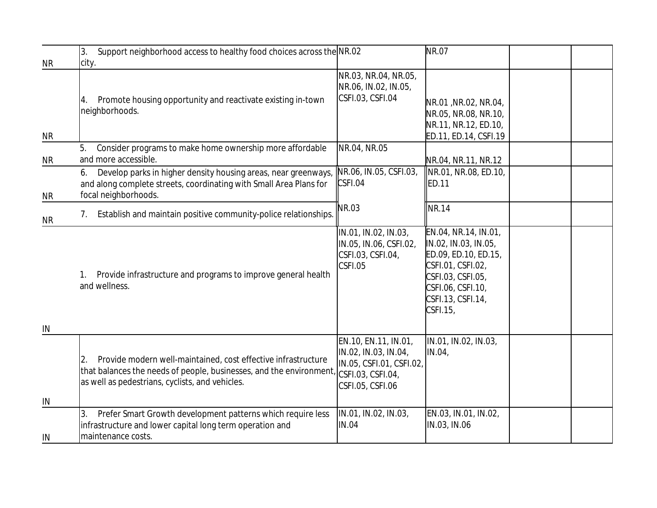|           | Support neighborhood access to healthy food choices across the NR.02<br>3.                                                                                                                   |                                                                                                                   | <b>NR.07</b>                                                                                                                                                         |  |
|-----------|----------------------------------------------------------------------------------------------------------------------------------------------------------------------------------------------|-------------------------------------------------------------------------------------------------------------------|----------------------------------------------------------------------------------------------------------------------------------------------------------------------|--|
| <b>NR</b> | city.                                                                                                                                                                                        | NR.03, NR.04, NR.05,<br>NR.06, IN.02, IN.05,                                                                      |                                                                                                                                                                      |  |
| <b>NR</b> | Promote housing opportunity and reactivate existing in-town<br>4.<br>neighborhoods.                                                                                                          | CSFI.03, CSFI.04                                                                                                  | NR.01, NR.02, NR.04,<br>NR.05, NR.08, NR.10,<br>NR.11, NR.12, ED.10,<br>ED.11, ED.14, CSFI.19                                                                        |  |
| <b>NR</b> | Consider programs to make home ownership more affordable<br>5.<br>and more accessible.                                                                                                       | NR.04, NR.05                                                                                                      | NR.04, NR.11, NR.12                                                                                                                                                  |  |
| <b>NR</b> | Develop parks in higher density housing areas, near greenways,<br>6.<br>and along complete streets, coordinating with Small Area Plans for<br>focal neighborhoods.                           | NR.06, IN.05, CSFI.03,<br>CSFI.04                                                                                 | NR.01, NR.08, ED.10,<br>ED.11                                                                                                                                        |  |
| <b>NR</b> | Establish and maintain positive community-police relationships.<br>7.                                                                                                                        | NR.03                                                                                                             | <b>NR.14</b>                                                                                                                                                         |  |
| IN        | Provide infrastructure and programs to improve general health<br>1.<br>and wellness.                                                                                                         | IN.01, IN.02, IN.03,<br>IN.05, IN.06, CSFI.02,<br>CSFI.03, CSFI.04,<br>CSFI.05                                    | EN.04, NR.14, IN.01,<br>IN.02, IN.03, IN.05,<br>ED.09, ED.10, ED.15,<br>CSFI.01, CSFI.02,<br>CSFI.03, CSFI.05,<br>CSFI.06, CSFI.10,<br>CSFI.13, CSFI.14,<br>CSFI.15, |  |
| IN        | Provide modern well-maintained, cost effective infrastructure<br>2.<br>that balances the needs of people, businesses, and the environment<br>as well as pedestrians, cyclists, and vehicles. | EN.10, EN.11, IN.01,<br>IN.02, IN.03, IN.04,<br>IN.05, CSFI.01, CSFI.02,<br>CSFI.03, CSFI.04,<br>CSFI.05, CSFI.06 | IN.01, IN.02, IN.03,<br>IN.04,                                                                                                                                       |  |
| IN        | Prefer Smart Growth development patterns which require less<br>3.<br>infrastructure and lower capital long term operation and<br>maintenance costs.                                          | IN.01, IN.02, IN.03,<br><b>IN.04</b>                                                                              | EN.03, IN.01, IN.02,<br>IN.03, IN.06                                                                                                                                 |  |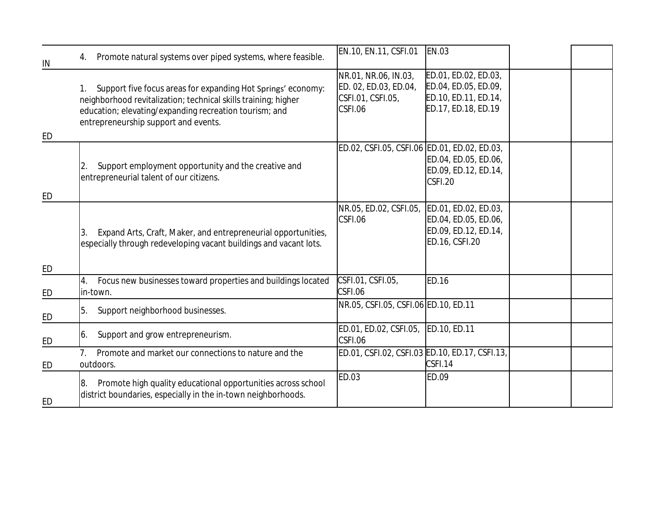| IN        | Promote natural systems over piped systems, where feasible.<br>4.                                                                                                                                                                      | EN.10, EN.11, CSFI.01                                                         | <b>EN.03</b>                                                                                |  |
|-----------|----------------------------------------------------------------------------------------------------------------------------------------------------------------------------------------------------------------------------------------|-------------------------------------------------------------------------------|---------------------------------------------------------------------------------------------|--|
| ED        | Support five focus areas for expanding Hot Springs' economy:<br>1.<br>neighborhood revitalization; technical skills training; higher<br>education; elevating/expanding recreation tourism; and<br>entrepreneurship support and events. | NR.01, NR.06, IN.03,<br>ED. 02, ED.03, ED.04,<br>CSFI.01, CSFI.05,<br>CSFI.06 | ED.01, ED.02, ED.03,<br>ED.04, ED.05, ED.09,<br>ED.10, ED.11, ED.14,<br>ED.17, ED.18, ED.19 |  |
| ED        | Support employment opportunity and the creative and<br>entrepreneurial talent of our citizens.                                                                                                                                         | ED.02, CSFI.05, CSFI.06 ED.01, ED.02, ED.03,                                  | ED.04, ED.05, ED.06,<br>ED.09, ED.12, ED.14,<br>CSFI.20                                     |  |
| $E$ D     | Expand Arts, Craft, Maker, and entrepreneurial opportunities,<br>3.<br>especially through redeveloping vacant buildings and vacant lots.                                                                                               | NR.05, ED.02, CSFI.05,<br>CSFI.06                                             | ED.01, ED.02, ED.03,<br>ED.04, ED.05, ED.06,<br>ED.09, ED.12, ED.14,<br>ED.16, CSFI.20      |  |
| ED        | Focus new businesses toward properties and buildings located<br>4.<br>in-town.                                                                                                                                                         | CSFI.01, CSFI.05,<br>CSFI.06                                                  | <b>ED.16</b>                                                                                |  |
| ED        | Support neighborhood businesses.<br>5.                                                                                                                                                                                                 | NR.05, CSFI.05, CSFI.06 ED.10, ED.11                                          |                                                                                             |  |
| ED        | Support and grow entrepreneurism.<br>16.                                                                                                                                                                                               | ED.01, ED.02, CSFI.05,<br>CSFI.06                                             | ED.10, ED.11                                                                                |  |
| ED        | Promote and market our connections to nature and the<br>7 <sub>1</sub><br>outdoors.                                                                                                                                                    | ED.01, CSFI.02, CSFI.03 ED.10, ED.17, CSFI.13,                                | CSFI.14                                                                                     |  |
| <b>ED</b> | Promote high quality educational opportunities across school<br>18.<br>district boundaries, especially in the in-town neighborhoods.                                                                                                   | ED.03                                                                         | ED.09                                                                                       |  |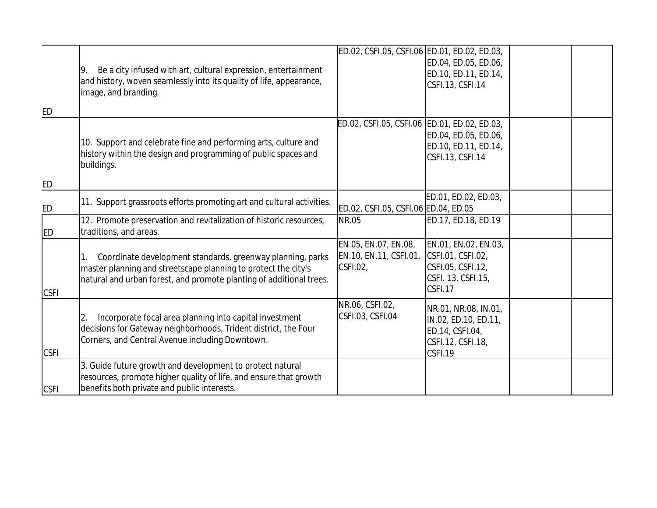| ED             | Be a city infused with art, cultural expression, entertainment<br>9.<br>and history, woven seamlessly into its quality of life, appearance,<br>image, and branding.                                 | ED.02, CSFI.05, CSFI.06 ED.01, ED.02, ED.03,               | ED.04, ED.05, ED.06,<br>ED.10, ED.11, ED.14,<br>CSFI.13, CSFI.14                                |  |
|----------------|-----------------------------------------------------------------------------------------------------------------------------------------------------------------------------------------------------|------------------------------------------------------------|-------------------------------------------------------------------------------------------------|--|
| E <sub>D</sub> | 10. Support and celebrate fine and performing arts, culture and<br>history within the design and programming of public spaces and<br>buildings.                                                     | ED.02, CSFI.05, CSFI.06 ED.01, ED.02, ED.03,               | ED.04, ED.05, ED.06,<br>ED.10, ED.11, ED.14,<br>CSFI.13, CSFI.14                                |  |
| ED             | 11. Support grassroots efforts promoting art and cultural activities.                                                                                                                               | ED.02, CSFI.05, CSFI.06 ED.04, ED.05                       | ED.01, ED.02, ED.03,                                                                            |  |
| <b>ED</b>      | 12. Promote preservation and revitalization of historic resources,<br>traditions, and areas.                                                                                                        | <b>NR.05</b>                                               | ED.17, ED.18, ED.19                                                                             |  |
| <b>CSFI</b>    | Coordinate development standards, greenway planning, parks<br>master planning and streetscape planning to protect the city's<br>natural and urban forest, and promote planting of additional trees. | EN.05, EN.07, EN.08,<br>EN.10, EN.11, CSFI.01,<br>CSFI.02, | EN.01, EN.02, EN.03,<br>CSFI.01, CSFI.02,<br>CSFI.05, CSFI.12,<br>CSFI. 13, CSFI.15,<br>CSFI.17 |  |
| <b>CSFI</b>    | Incorporate focal area planning into capital investment<br>decisions for Gateway neighborhoods, Trident district, the Four<br>Corners, and Central Avenue including Downtown.                       | NR.06, CSFI.02,<br>CSFI.03, CSFI.04                        | NR.01, NR.08, IN.01,<br>IN.02, ED.10, ED.11,<br>ED.14, CSFI.04,<br>CSFI.12, CSFI.18,<br>CSFI.19 |  |
| <b>CSFI</b>    | 3. Guide future growth and development to protect natural<br>resources, promote higher quality of life, and ensure that growth<br>benefits both private and public interests.                       |                                                            |                                                                                                 |  |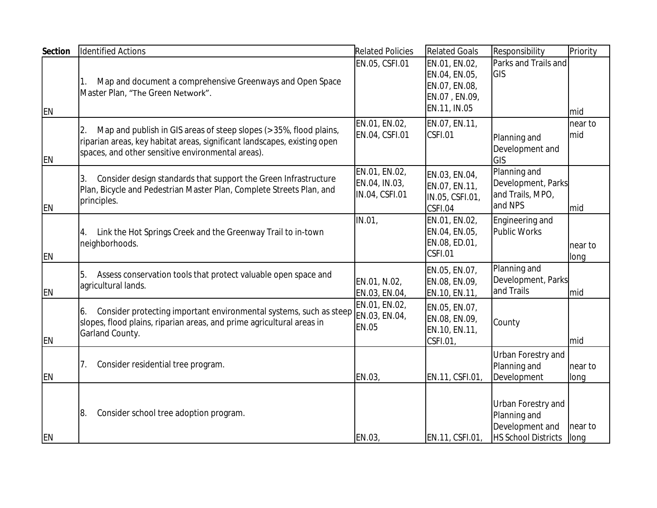| <b>Section</b> | Identified Actions                                                                                                                                                                                        | <b>Related Policies</b>                          | <b>Related Goals</b>                                                             | Responsibility                                                                      | Priority                |
|----------------|-----------------------------------------------------------------------------------------------------------------------------------------------------------------------------------------------------------|--------------------------------------------------|----------------------------------------------------------------------------------|-------------------------------------------------------------------------------------|-------------------------|
| EN             | Map and document a comprehensive Greenways and Open Space<br>Master Plan, "The Green Network".                                                                                                            | EN.05, CSFI.01                                   | EN.01, EN.02,<br>EN.04, EN.05,<br>EN.07, EN.08,<br>EN.07, EN.09,<br>EN.11, IN.05 | Parks and Trails and<br>GIS                                                         | Imid                    |
| EN             | Map and publish in GIS areas of steep slopes (> 35%, flood plains,<br>2.<br>riparian areas, key habitat areas, significant landscapes, existing open<br>spaces, and other sensitive environmental areas). | EN.01, EN.02,<br>EN.04, CSFI.01                  | EN.07, EN.11,<br>CSFI.01                                                         | Planning and<br>Development and<br>GIS                                              | near to<br><b>I</b> mid |
| <b>EN</b>      | Consider design standards that support the Green Infrastructure<br>3.<br>Plan, Bicycle and Pedestrian Master Plan, Complete Streets Plan, and<br>principles.                                              | EN.01, EN.02,<br>EN.04, IN.03,<br>IN.04, CSFI.01 | EN.03, EN.04,<br>EN.07, EN.11,<br>IN.05, CSFI.01,<br>CSFI.04                     | Planning and<br>Development, Parks<br>and Trails, MPO,<br>and NPS                   | <b>I</b> mid            |
| EN             | Link the Hot Springs Creek and the Greenway Trail to in-town<br>4.<br>neighborhoods.                                                                                                                      | IN.01,                                           | EN.01, EN.02,<br>EN.04, EN.05,<br>EN.08, ED.01,<br>CSFI.01                       | Engineering and<br><b>Public Works</b>                                              | Inear to<br>llong       |
| <b>EN</b>      | Assess conservation tools that protect valuable open space and<br>5.<br>agricultural lands.                                                                                                               | EN.01, N.02,<br>EN.03, EN.04,                    | EN.05, EN.07,<br>EN.08, EN.09,<br>EN.10, EN.11,                                  | Planning and<br>Development, Parks<br>and Trails                                    | <b>I</b> mid            |
| <b>EN</b>      | Consider protecting important environmental systems, such as steep EN.03, EN.04,<br>6.<br>slopes, flood plains, riparian areas, and prime agricultural areas in<br>Garland County.                        | EN.01, EN.02,<br><b>EN.05</b>                    | EN.05, EN.07,<br>EN.08, EN.09,<br>EN.10, EN.11,<br>CSFI.01,                      | County                                                                              | Imid                    |
| <b>EN</b>      | Consider residential tree program.<br>7.                                                                                                                                                                  | EN.03,                                           | EN.11, CSFI.01,                                                                  | Urban Forestry and<br>Planning and<br>Development                                   | near to<br>long         |
| EN             | Consider school tree adoption program.<br>8.                                                                                                                                                              | EN.03                                            | EN.11, CSFI.01,                                                                  | Urban Forestry and<br>Planning and<br>Development and<br><b>HS School Districts</b> | near to<br>llong        |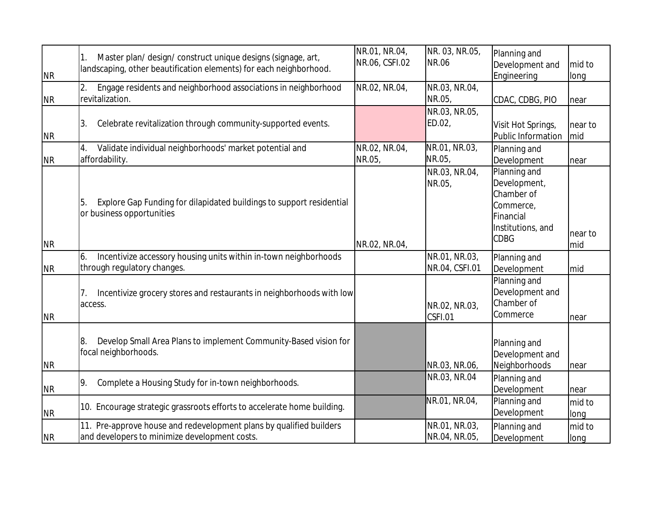| N <sub>R</sub> | Master plan/design/construct unique designs (signage, art,<br>landscaping, other beautification elements) for each neighborhood. | NR.01, NR.04,<br>NR.06, CSFI.02 | NR. 03, NR.05,<br><b>NR.06</b>  | Planning and<br>Development and<br>Engineering                                                           | mid to<br>long |
|----------------|----------------------------------------------------------------------------------------------------------------------------------|---------------------------------|---------------------------------|----------------------------------------------------------------------------------------------------------|----------------|
| <b>NR</b>      | Engage residents and neighborhood associations in neighborhood<br>revitalization.                                                | NR.02, NR.04,                   | NR.03, NR.04,<br>NR.05,         | CDAC, CDBG, PIO                                                                                          | near           |
| NR             | Celebrate revitalization through community-supported events.<br>3.                                                               |                                 | NR.03, NR.05,<br>ED.02,         | Visit Hot Springs,<br>Public Information                                                                 | near to<br>mid |
| NR             | Validate individual neighborhoods' market potential and<br>affordability.                                                        | NR.02, NR.04,<br>NR.05,         | NR.01, NR.03,<br>NR.05          | Planning and<br>Development                                                                              | near           |
| NR             | Explore Gap Funding for dilapidated buildings to support residential<br>15.<br>or business opportunities                         | NR.02, NR.04,                   | NR.03, NR.04,<br>NR.05,         | Planning and<br>Development,<br>Chamber of<br>Commerce,<br>Financial<br>Institutions, and<br><b>CDBG</b> | near to<br>mid |
| NR             | Incentivize accessory housing units within in-town neighborhoods<br>6.<br>through regulatory changes.                            |                                 | NR.01, NR.03,<br>NR.04, CSFI.01 | Planning and<br>Development                                                                              | mid            |
| N <sub>R</sub> | Incentivize grocery stores and restaurants in neighborhoods with low<br>access.                                                  |                                 | NR.02, NR.03,<br>CSFI.01        | Planning and<br>Development and<br>Chamber of<br>Commerce                                                | near           |
| <b>NR</b>      | Develop Small Area Plans to implement Community-Based vision for<br>18.<br>focal neighborhoods.                                  |                                 | NR.03, NR.06,                   | Planning and<br>Development and<br>Neighborhoods                                                         | near           |
| <b>NR</b>      | Complete a Housing Study for in-town neighborhoods.<br>19.                                                                       |                                 | NR.03, NR.04                    | Planning and<br>Development                                                                              | near           |
| <b>NR</b>      | 10. Encourage strategic grassroots efforts to accelerate home building.                                                          |                                 | NR.01, NR.04,                   | Planning and<br>Development                                                                              | mid to<br>long |
| N <sub>R</sub> | 11. Pre-approve house and redevelopment plans by qualified builders<br>and developers to minimize development costs.             |                                 | NR.01, NR.03,<br>NR.04, NR.05,  | Planning and<br>Development                                                                              | mid to<br>long |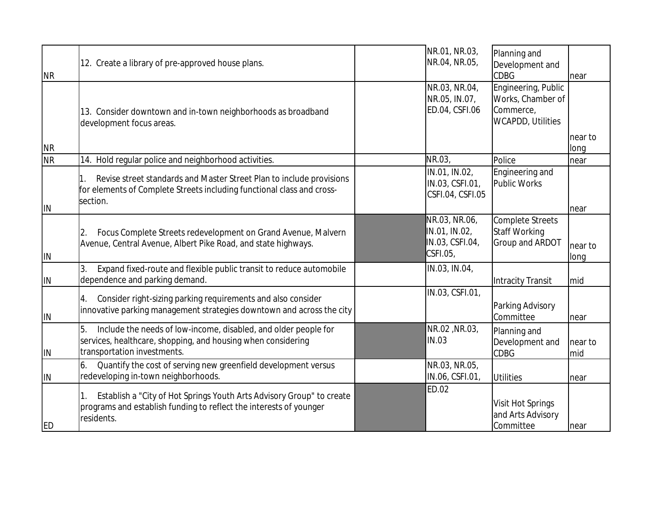| N <sub>R</sub> | 12. Create a library of pre-approved house plans.                                                                                                                    | NR.01, NR.03,<br>NR.04, NR.05,                                | Planning and<br>Development and<br><b>CDBG</b>                                    | near            |
|----------------|----------------------------------------------------------------------------------------------------------------------------------------------------------------------|---------------------------------------------------------------|-----------------------------------------------------------------------------------|-----------------|
|                | 13. Consider downtown and in-town neighborhoods as broadband<br>development focus areas.                                                                             | NR.03, NR.04,<br>NR.05, IN.07,<br>ED.04, CSFI.06              | Engineering, Public<br>Works, Chamber of<br>Commerce,<br><b>WCAPDD, Utilities</b> |                 |
| N <sub>R</sub> |                                                                                                                                                                      |                                                               |                                                                                   | near to<br>long |
| <b>NR</b>      | 14. Hold regular police and neighborhood activities.                                                                                                                 | NR.03,                                                        | Police                                                                            | near            |
| <b>IIN</b>     | Revise street standards and Master Street Plan to include provisions<br>1.<br>for elements of Complete Streets including functional class and cross-<br>section.     | IN.01, IN.02,<br>IN.03, CSFI.01,<br>CSFI.04, CSFI.05          | Engineering and<br>Public Works                                                   | near            |
| IN             | Focus Complete Streets redevelopment on Grand Avenue, Malvern<br>2.<br>Avenue, Central Avenue, Albert Pike Road, and state highways.                                 | NR.03, NR.06,<br>IN.01, IN.02,<br>IN.03, CSFI.04,<br>CSFI.05, | Complete Streets<br>Staff Working<br>Group and ARDOT                              | near to<br>long |
| IIN            | Expand fixed-route and flexible public transit to reduce automobile<br>dependence and parking demand.                                                                | IN.03, IN.04,                                                 | Intracity Transit                                                                 | mid             |
| IN             | Consider right-sizing parking requirements and also consider<br>4.<br>innovative parking management strategies downtown and across the city                          | IN.03, CSFI.01,                                               | Parking Advisory<br>Committee                                                     | near            |
| IN             | 5.<br>Include the needs of low-income, disabled, and older people for<br>services, healthcare, shopping, and housing when considering<br>transportation investments. | NR.02, NR.03,<br>IN.03                                        | Planning and<br>Development and<br><b>CDBG</b>                                    | near to<br>mid  |
| <b>IIN</b>     | Quantify the cost of serving new greenfield development versus<br>6.<br>redeveloping in-town neighborhoods.                                                          | NR.03, NR.05,<br>IN.06, CSFI.01,                              | Utilities                                                                         | near            |
| <b>IED</b>     | Establish a "City of Hot Springs Youth Arts Advisory Group" to create<br>programs and establish funding to reflect the interests of younger<br>residents.            | ED.02                                                         | Visit Hot Springs<br>and Arts Advisory<br>Committee                               | near            |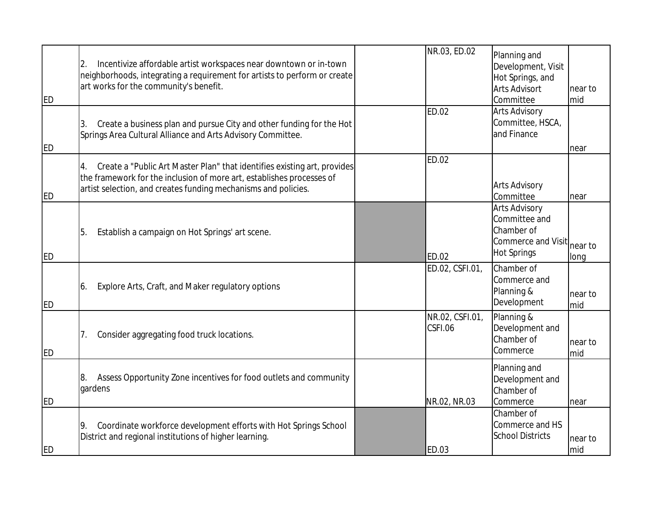| ED         | Incentivize affordable artist workspaces near downtown or in-town<br>2.<br>neighborhoods, integrating a requirement for artists to perform or create<br>art works for the community's benefit.                            | NR.03, ED.02               | Planning and<br>Development, Visit<br>Hot Springs, and<br><b>Arts Advisort</b><br>Committee | near to<br>mid  |
|------------|---------------------------------------------------------------------------------------------------------------------------------------------------------------------------------------------------------------------------|----------------------------|---------------------------------------------------------------------------------------------|-----------------|
| <b>IED</b> | Create a business plan and pursue City and other funding for the Hot<br>ΙЗ.<br>Springs Area Cultural Alliance and Arts Advisory Committee.                                                                                | <b>ED.02</b>               | <b>Arts Advisory</b><br>Committee, HSCA,<br>land Finance                                    | near            |
| ED         | Create a "Public Art Master Plan" that identifies existing art, provides<br>4.<br>the framework for the inclusion of more art, establishes processes of<br>artist selection, and creates funding mechanisms and policies. | <b>ED.02</b>               | <b>Arts Advisory</b><br>Committee                                                           | near            |
| <b>ED</b>  | Establish a campaign on Hot Springs' art scene.<br>5.                                                                                                                                                                     | <b>ED.02</b>               | <b>Arts Advisory</b><br>Committee and<br>Chamber of<br>Commerce and Visit<br>Hot Springs    | near to<br>long |
| ED         | Explore Arts, Craft, and Maker regulatory options<br>16.                                                                                                                                                                  | ED.02, CSFI.01,            | Chamber of<br>Commerce and<br>Planning &<br>Development                                     | near to<br>mid  |
| ED         | Consider aggregating food truck locations.<br>7.                                                                                                                                                                          | NR.02, CSFI.01,<br>CSFI.06 | Planning &<br>Development and<br>Chamber of<br>Commerce                                     | near to<br>mid  |
| ED         | Assess Opportunity Zone incentives for food outlets and community<br>8.<br>gardens                                                                                                                                        | NR.02, NR.03               | Planning and<br>Development and<br>Chamber of<br>Commerce                                   | near            |
| <b>ED</b>  | Coordinate workforce development efforts with Hot Springs School<br>9.<br>District and regional institutions of higher learning.                                                                                          | <b>ED.03</b>               | Chamber of<br>Commerce and HS<br><b>School Districts</b>                                    | near to<br>mid  |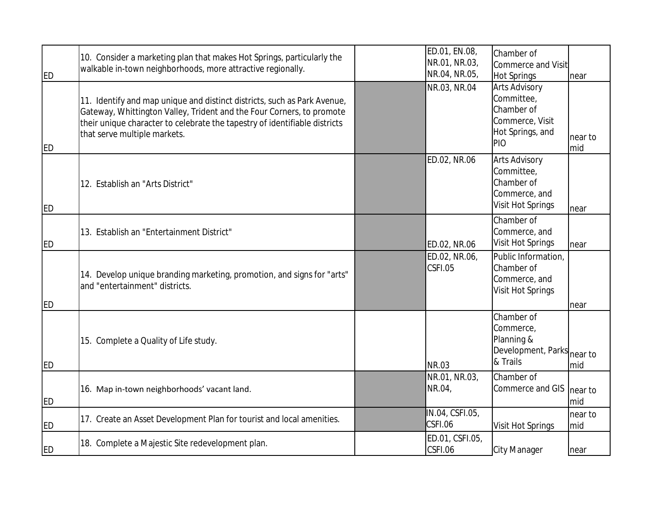| ED                     | 10. Consider a marketing plan that makes Hot Springs, particularly the<br>walkable in-town neighborhoods, more attractive regionally.                                                                                                                           | ED.01, EN.08,<br>NR.01, NR.03,<br>NR.04, NR.05, | Chamber of<br>Commerce and Visit<br>Hot Springs                                                | near           |
|------------------------|-----------------------------------------------------------------------------------------------------------------------------------------------------------------------------------------------------------------------------------------------------------------|-------------------------------------------------|------------------------------------------------------------------------------------------------|----------------|
| <b>ED</b>              | 11. Identify and map unique and distinct districts, such as Park Avenue,<br>Gateway, Whittington Valley, Trident and the Four Corners, to promote<br>their unique character to celebrate the tapestry of identifiable districts<br>that serve multiple markets. | NR.03, NR.04                                    | <b>Arts Advisory</b><br>Committee,<br>Chamber of<br>Commerce, Visit<br>Hot Springs, and<br>PIO | near to<br>mid |
| <b>ED</b>              | 12. Establish an "Arts District"                                                                                                                                                                                                                                | ED.02, NR.06                                    | <b>Arts Advisory</b><br>Committee,<br>Chamber of<br>Commerce, and<br>Visit Hot Springs         | near           |
| <b>ED</b>              | 13. Establish an "Entertainment District"                                                                                                                                                                                                                       | ED.02, NR.06                                    | Chamber of<br>Commerce, and<br>Visit Hot Springs                                               | near           |
|                        | 14. Develop unique branding marketing, promotion, and signs for "arts"<br>and "entertainment" districts.                                                                                                                                                        | ED.02, NR.06,<br>CSFI.05                        | Public Information,<br>Chamber of<br>Commerce, and<br>Visit Hot Springs                        |                |
| <b>ED</b><br><b>ED</b> | 15. Complete a Quality of Life study.                                                                                                                                                                                                                           | NR.03                                           | Chamber of<br>Commerce,<br>Planning &<br>Development, Parks near to<br>& Trails                | near<br>mid    |
| <b>ED</b>              | 16. Map in-town neighborhoods' vacant land.                                                                                                                                                                                                                     | NR.01, NR.03,<br>NR.04,                         | Chamber of<br>Commerce and GIS                                                                 | near to<br>mid |
| <b>ED</b>              | 17. Create an Asset Development Plan for tourist and local amenities.                                                                                                                                                                                           | IN.04, CSFI.05,<br>CSFI.06                      | Visit Hot Springs                                                                              | near to<br>mid |
| <b>ED</b>              | 18. Complete a Majestic Site redevelopment plan.                                                                                                                                                                                                                | ED.01, CSFI.05,<br>CSFI.06                      | City Manager                                                                                   | near           |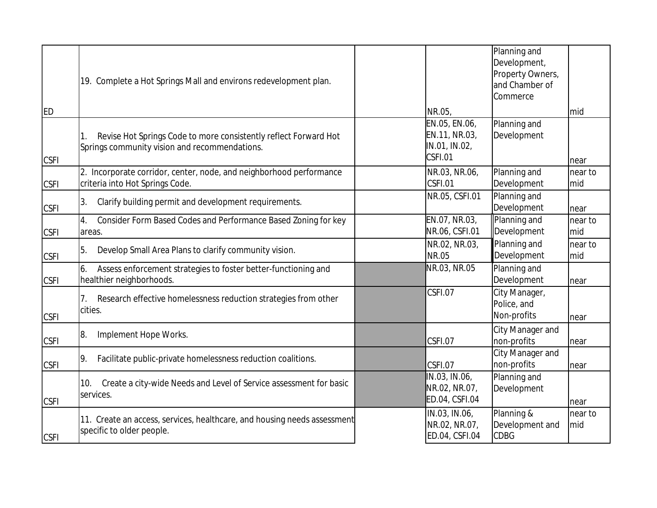|             | 19. Complete a Hot Springs Mall and environs redevelopment plan.                                                  |                                                            | Planning and<br>Development,<br>Property Owners,<br>and Chamber of<br>Commerce |                |
|-------------|-------------------------------------------------------------------------------------------------------------------|------------------------------------------------------------|--------------------------------------------------------------------------------|----------------|
| <b>IED</b>  |                                                                                                                   | NR.05,                                                     |                                                                                | mid            |
| <b>CSFI</b> | Revise Hot Springs Code to more consistently reflect Forward Hot<br>Springs community vision and recommendations. | EN.05, EN.06,<br>EN.11, NR.03,<br>IN.01, IN.02,<br>CSFI.01 | Planning and<br>Development                                                    | near           |
| <b>CSFI</b> | 2. Incorporate corridor, center, node, and neighborhood performance<br>criteria into Hot Springs Code.            | NR.03, NR.06,<br>CSFI.01                                   | Planning and<br>Development                                                    | near to<br>mid |
| <b>CSFI</b> | Clarify building permit and development requirements.<br>3.                                                       | NR.05, CSFI.01                                             | Planning and<br>Development                                                    | near           |
| <b>CSFI</b> | Consider Form Based Codes and Performance Based Zoning for key<br>4.<br>areas.                                    | EN.07, NR.03,<br>NR.06, CSFI.01                            | Planning and<br>Development                                                    | near to<br>mid |
| <b>CSFI</b> | Develop Small Area Plans to clarify community vision.<br>5.                                                       | NR.02, NR.03,<br>NR.05                                     | Planning and<br>Development                                                    | near to<br>mid |
| <b>CSFI</b> | Assess enforcement strategies to foster better-functioning and<br>6.<br>healthier neighborhoods.                  | NR.03, NR.05                                               | Planning and<br>Development                                                    | near           |
| <b>CSFI</b> | Research effective homelessness reduction strategies from other<br>7.<br>cities.                                  | CSFI.07                                                    | City Manager,<br>Police, and<br>Non-profits                                    | near           |
| <b>CSFI</b> | Implement Hope Works.<br>18.                                                                                      | CSFI.07                                                    | City Manager and<br>non-profits                                                | near           |
| <b>CSFI</b> | Facilitate public-private homelessness reduction coalitions.<br>19.                                               | CSFI.07                                                    | City Manager and<br>non-profits                                                | near           |
| <b>CSFI</b> | Create a city-wide Needs and Level of Service assessment for basic<br>10.<br>services.                            | IN.03, IN.06,<br>NR.02, NR.07,<br>ED.04, CSFI.04           | Planning and<br>Development                                                    | near           |
| <b>CSFI</b> | 11. Create an access, services, healthcare, and housing needs assessment<br>specific to older people.             | IN.03, IN.06,<br>NR.02, NR.07,<br>ED.04, CSFI.04           | Planning &<br>Development and<br><b>CDBG</b>                                   | near to<br>mid |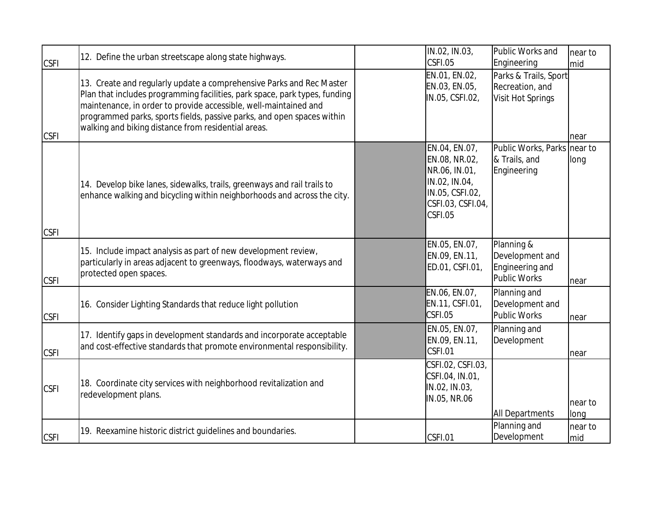|                            | 12. Define the urban streetscape along state highways.                                                                                                                                                                                                                                                                                                  | IN.02, IN.03,<br>CSFI.05                                                                                            | Public Works and                                                             | near to         |
|----------------------------|---------------------------------------------------------------------------------------------------------------------------------------------------------------------------------------------------------------------------------------------------------------------------------------------------------------------------------------------------------|---------------------------------------------------------------------------------------------------------------------|------------------------------------------------------------------------------|-----------------|
| <b>CSFI</b><br><b>CSFI</b> | 13. Create and regularly update a comprehensive Parks and Rec Master<br>Plan that includes programming facilities, park space, park types, funding<br>maintenance, in order to provide accessible, well-maintained and<br>programmed parks, sports fields, passive parks, and open spaces within<br>walking and biking distance from residential areas. | EN.01, EN.02,<br>EN.03, EN.05,<br>IN.05, CSFI.02,                                                                   | Engineering<br>Parks & Trails, Sport<br>Recreation, and<br>Visit Hot Springs | mid<br>near     |
| <b>CSFI</b>                | 14. Develop bike lanes, sidewalks, trails, greenways and rail trails to<br>enhance walking and bicycling within neighborhoods and across the city.                                                                                                                                                                                                      | EN.04, EN.07,<br>EN.08, NR.02,<br>NR.06, IN.01,<br>IN.02, IN.04,<br>IN.05, CSFI.02,<br>CSFI.03, CSFI.04,<br>CSFI.05 | Public Works, Parks near to<br>& Trails, and<br>Engineering                  | long            |
| <b>CSFI</b>                | 15. Include impact analysis as part of new development review,<br>particularly in areas adjacent to greenways, floodways, waterways and<br>protected open spaces.                                                                                                                                                                                       | EN.05, EN.07,<br>EN.09, EN.11,<br>ED.01, CSFI.01,                                                                   | Planning &<br>Development and<br>Engineering and<br>Public Works             | near            |
| <b>CSFI</b>                | 16. Consider Lighting Standards that reduce light pollution                                                                                                                                                                                                                                                                                             | EN.06, EN.07,<br>EN.11, CSFI.01,<br>CSFI.05                                                                         | Planning and<br>Development and<br>Public Works                              | near            |
| <b>CSFI</b>                | 17. Identify gaps in development standards and incorporate acceptable<br>and cost-effective standards that promote environmental responsibility.                                                                                                                                                                                                        | EN.05, EN.07,<br>EN.09, EN.11,<br>CSFI.01                                                                           | Planning and<br>Development                                                  | near            |
| <b>CSFI</b>                | 18. Coordinate city services with neighborhood revitalization and<br>redevelopment plans.                                                                                                                                                                                                                                                               | CSFI.02, CSFI.03,<br>CSFI.04, IN.01,<br>IN.02, IN.03,<br>IN.05, NR.06                                               | <b>All Departments</b>                                                       | near to<br>long |
| <b>CSFI</b>                | 19. Reexamine historic district guidelines and boundaries.                                                                                                                                                                                                                                                                                              | CSFI.01                                                                                                             | Planning and<br>Development                                                  | near to<br>mid  |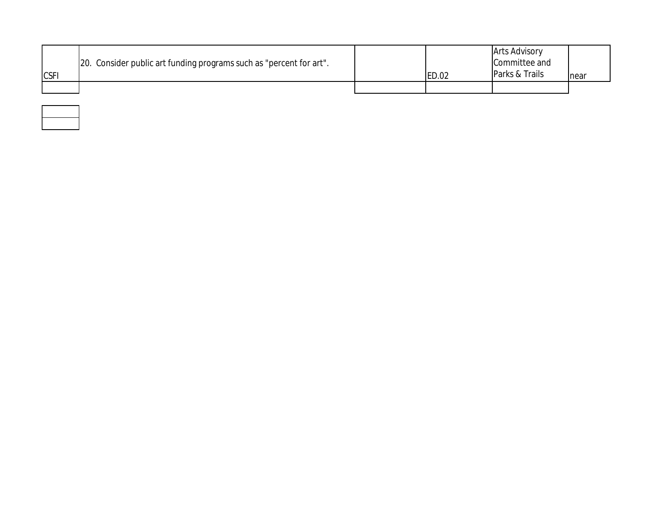| <b>CSF</b> | [20. Consider public art funding programs such as "percent for art". | ED.02 | <b>Arts Advisory</b><br>Committee and<br>Parks & Trails | near |
|------------|----------------------------------------------------------------------|-------|---------------------------------------------------------|------|
|            |                                                                      |       |                                                         |      |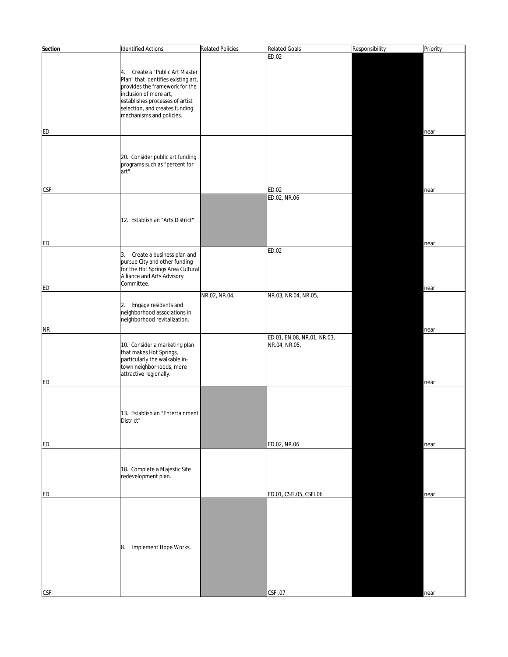| Section     | Identified Actions                                                    | <b>Related Policies</b> | <b>Related Goals</b>        | Responsibility | Priority |
|-------------|-----------------------------------------------------------------------|-------------------------|-----------------------------|----------------|----------|
|             |                                                                       |                         | ED.02                       |                |          |
|             |                                                                       |                         |                             |                |          |
|             | 4. Create a "Public Art Master<br>Plan" that identifies existing art, |                         |                             |                |          |
|             | provides the framework for the                                        |                         |                             |                |          |
|             | inclusion of more art,                                                |                         |                             |                |          |
|             | establishes processes of artist                                       |                         |                             |                |          |
|             | selection, and creates funding<br>mechanisms and policies.            |                         |                             |                |          |
|             |                                                                       |                         |                             |                |          |
| <b>ED</b>   |                                                                       |                         |                             |                | near     |
|             |                                                                       |                         |                             |                |          |
|             |                                                                       |                         |                             |                |          |
|             | 20. Consider public art funding                                       |                         |                             |                |          |
|             | programs such as "percent for                                         |                         |                             |                |          |
|             | art".                                                                 |                         |                             |                |          |
|             |                                                                       |                         |                             |                |          |
| <b>CSFI</b> |                                                                       |                         | ED.02<br>ED.02, NR.06       |                | near     |
|             |                                                                       |                         |                             |                |          |
|             |                                                                       |                         |                             |                |          |
|             | 12. Establish an "Arts District"                                      |                         |                             |                |          |
|             |                                                                       |                         |                             |                |          |
| <b>ED</b>   |                                                                       |                         |                             |                |          |
|             |                                                                       |                         | ED.02                       |                | near     |
|             | 3. Create a business plan and                                         |                         |                             |                |          |
|             | pursue City and other funding<br>for the Hot Springs Area Cultural    |                         |                             |                |          |
|             | Alliance and Arts Advisory                                            |                         |                             |                |          |
| <b>ED</b>   | Committee.                                                            |                         |                             |                | near     |
|             |                                                                       | NR.02, NR.04,           | NR.03, NR.04, NR.05,        |                |          |
|             | 2.<br>Engage residents and                                            |                         |                             |                |          |
|             | neighborhood associations in                                          |                         |                             |                |          |
|             | neighborhood revitalization.                                          |                         |                             |                |          |
| <b>NR</b>   |                                                                       |                         |                             |                | near     |
|             |                                                                       |                         | ED.01, EN.08, NR.01, NR.03, |                |          |
|             | 10. Consider a marketing plan<br>that makes Hot Springs,              |                         | NR.04, NR.05,               |                |          |
|             | particularly the walkable in-                                         |                         |                             |                |          |
|             | town neighborhoods, more                                              |                         |                             |                |          |
|             | attractive regionally.                                                |                         |                             |                |          |
| <b>ED</b>   |                                                                       |                         |                             |                | near     |
|             |                                                                       |                         |                             |                |          |
|             |                                                                       |                         |                             |                |          |
|             | 13. Establish an "Entertainment                                       |                         |                             |                |          |
|             | District"                                                             |                         |                             |                |          |
|             |                                                                       |                         |                             |                |          |
| <b>ED</b>   |                                                                       |                         | ED.02, NR.06                |                | near     |
|             |                                                                       |                         |                             |                |          |
|             |                                                                       |                         |                             |                |          |
|             | 18. Complete a Majestic Site                                          |                         |                             |                |          |
|             | redevelopment plan.                                                   |                         |                             |                |          |
|             |                                                                       |                         |                             |                |          |
| <b>ED</b>   |                                                                       |                         | ED.01, CSFI.05, CSFI.06     |                | near     |
|             |                                                                       |                         |                             |                |          |
|             |                                                                       |                         |                             |                |          |
|             |                                                                       |                         |                             |                |          |
|             |                                                                       |                         |                             |                |          |
|             | Implement Hope Works.<br>8.                                           |                         |                             |                |          |
|             |                                                                       |                         |                             |                |          |
|             |                                                                       |                         |                             |                |          |
|             |                                                                       |                         |                             |                |          |
|             |                                                                       |                         |                             |                |          |
| <b>CSFI</b> |                                                                       |                         | CSFI.07                     |                | near     |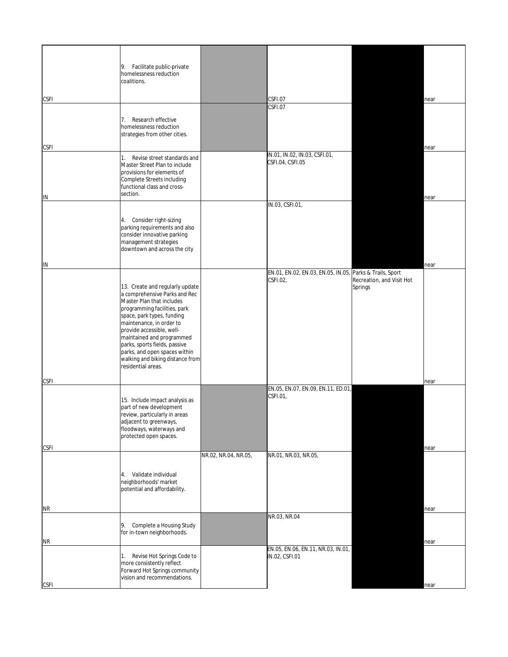|             | Facilitate public-private<br>9.<br>homelessness reduction<br>coalitions.                                                                                                                                                                                                                                                                                                      |                      |                                                                      |                                      |      |
|-------------|-------------------------------------------------------------------------------------------------------------------------------------------------------------------------------------------------------------------------------------------------------------------------------------------------------------------------------------------------------------------------------|----------------------|----------------------------------------------------------------------|--------------------------------------|------|
| <b>CSFI</b> |                                                                                                                                                                                                                                                                                                                                                                               |                      | CSFI.07                                                              |                                      | near |
|             | 7. Research effective<br>homelessness reduction<br>strategies from other cities.                                                                                                                                                                                                                                                                                              |                      | CSFI.07                                                              |                                      |      |
| <b>CSFI</b> |                                                                                                                                                                                                                                                                                                                                                                               |                      |                                                                      |                                      | near |
| IN          | 1.<br>Revise street standards and<br>Master Street Plan to include<br>provisions for elements of<br>Complete Streets including<br>functional class and cross-<br>section.                                                                                                                                                                                                     |                      | IN.01, IN.02, IN.03, CSFI.01,<br>CSFI.04, CSFI.05                    |                                      | near |
|             |                                                                                                                                                                                                                                                                                                                                                                               |                      | IN.03, CSFI.01,                                                      |                                      |      |
|             | 4. Consider right-sizing<br>parking requirements and also<br>consider innovative parking<br>management strategies<br>downtown and across the city                                                                                                                                                                                                                             |                      |                                                                      |                                      |      |
| IN          |                                                                                                                                                                                                                                                                                                                                                                               |                      |                                                                      |                                      | near |
|             | 13. Create and regularly update<br>a comprehensive Parks and Rec<br>Master Plan that includes<br>programming facilities, park<br>space, park types, funding<br>maintenance, in order to<br>provide accessible, well-<br>maintained and programmed<br>parks, sports fields, passive<br>parks, and open spaces within<br>walking and biking distance from<br>residential areas. |                      | EN.01, EN.02, EN.03, EN.05, IN.05, Parks & Trails, Sport<br>CSFI.02, | Recreation, and Visit Hot<br>Springs |      |
| <b>CSFI</b> |                                                                                                                                                                                                                                                                                                                                                                               |                      |                                                                      |                                      | near |
|             | 15. Include impact analysis as<br>part of new development<br>review, particularly in areas<br>adjacent to greenways,<br>floodways, waterways and<br>protected open spaces.                                                                                                                                                                                                    |                      | EN.05, EN.07, EN.09, EN.11, ED.01,<br>CSFI.01,                       |                                      |      |
| <b>CSFI</b> |                                                                                                                                                                                                                                                                                                                                                                               |                      |                                                                      |                                      | near |
|             | Validate individual<br>4.<br>neighborhoods' market<br>potential and affordability.                                                                                                                                                                                                                                                                                            | NR.02, NR.04, NR.05, | NR.01, NR.03, NR.05,                                                 |                                      |      |
| ΝR          |                                                                                                                                                                                                                                                                                                                                                                               |                      |                                                                      |                                      | near |
| <b>NR</b>   | Complete a Housing Study<br>9.<br>for in-town neighborhoods.                                                                                                                                                                                                                                                                                                                  |                      | NR.03, NR.04                                                         |                                      | near |
| <b>CSFI</b> | Revise Hot Springs Code to<br>1.<br>more consistently reflect<br>Forward Hot Springs community<br>vision and recommendations.                                                                                                                                                                                                                                                 |                      | EN.05, EN.06, EN.11, NR.03, IN.01,<br>IN.02, CSFI.01                 |                                      | near |
|             |                                                                                                                                                                                                                                                                                                                                                                               |                      |                                                                      |                                      |      |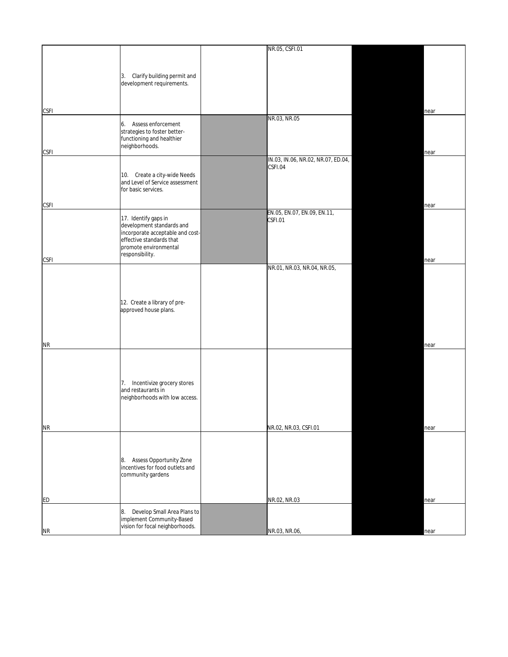|                |                                   | NR.05, CSFI.01                     |      |
|----------------|-----------------------------------|------------------------------------|------|
|                |                                   |                                    |      |
|                |                                   |                                    |      |
|                | Clarify building permit and<br>3. |                                    |      |
|                | development requirements.         |                                    |      |
|                |                                   |                                    |      |
|                |                                   |                                    |      |
|                |                                   |                                    |      |
| <b>CSFI</b>    |                                   |                                    | near |
|                | Assess enforcement<br>6.          | NR.03, NR.05                       |      |
|                | strategies to foster better-      |                                    |      |
|                | functioning and healthier         |                                    |      |
|                | neighborhoods.                    |                                    |      |
| <b>CSFI</b>    |                                   |                                    | near |
|                |                                   | IN.03, IN.06, NR.02, NR.07, ED.04, |      |
|                |                                   | CSFI.04                            |      |
|                | 10. Create a city-wide Needs      |                                    |      |
|                | and Level of Service assessment   |                                    |      |
|                | for basic services.               |                                    |      |
|                |                                   |                                    |      |
| <b>CSFI</b>    |                                   |                                    | near |
|                | 17. Identify gaps in              | EN.05, EN.07, EN.09, EN.11,        |      |
|                | development standards and         | CSFI.01                            |      |
|                | incorporate acceptable and cost-  |                                    |      |
|                | effective standards that          |                                    |      |
|                | promote environmental             |                                    |      |
|                | responsibility.                   |                                    |      |
| <b>CSFI</b>    |                                   |                                    | near |
|                |                                   | NR.01, NR.03, NR.04, NR.05,        |      |
|                |                                   |                                    |      |
|                |                                   |                                    |      |
|                |                                   |                                    |      |
|                | 12. Create a library of pre-      |                                    |      |
|                | approved house plans.             |                                    |      |
|                |                                   |                                    |      |
|                |                                   |                                    |      |
|                |                                   |                                    |      |
|                |                                   |                                    |      |
| NR             |                                   |                                    | near |
|                |                                   |                                    |      |
|                |                                   |                                    |      |
|                |                                   |                                    |      |
|                | 7. Incentivize grocery stores     |                                    |      |
|                | and restaurants in                |                                    |      |
|                | neighborhoods with low access.    |                                    |      |
|                |                                   |                                    |      |
|                |                                   |                                    |      |
|                |                                   |                                    |      |
| N <sub>R</sub> |                                   | NR.02, NR.03, CSFI.01              | near |
|                |                                   |                                    |      |
|                |                                   |                                    |      |
|                |                                   |                                    |      |
|                | Assess Opportunity Zone<br>8.     |                                    |      |
|                | incentives for food outlets and   |                                    |      |
|                | community gardens                 |                                    |      |
|                |                                   |                                    |      |
|                |                                   |                                    |      |
| ED             |                                   | NR.02, NR.03                       | near |
|                |                                   |                                    |      |
|                | Develop Small Area Plans to<br>8. |                                    |      |
|                | implement Community-Based         |                                    |      |
| N <sub>R</sub> | vision for focal neighborhoods.   | NR.03, NR.06,                      | near |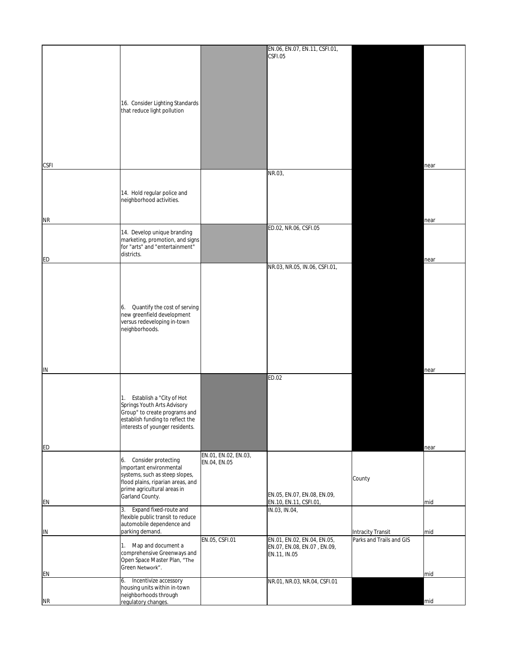|                        |                                                                   |                      | EN.06, EN.07, EN.11, CSFI.01,           |                          |      |
|------------------------|-------------------------------------------------------------------|----------------------|-----------------------------------------|--------------------------|------|
|                        |                                                                   |                      | CSFI.05                                 |                          |      |
|                        |                                                                   |                      |                                         |                          |      |
|                        |                                                                   |                      |                                         |                          |      |
|                        |                                                                   |                      |                                         |                          |      |
|                        |                                                                   |                      |                                         |                          |      |
|                        |                                                                   |                      |                                         |                          |      |
|                        | 16. Consider Lighting Standards<br>that reduce light pollution    |                      |                                         |                          |      |
|                        |                                                                   |                      |                                         |                          |      |
|                        |                                                                   |                      |                                         |                          |      |
|                        |                                                                   |                      |                                         |                          |      |
|                        |                                                                   |                      |                                         |                          |      |
|                        |                                                                   |                      |                                         |                          |      |
|                        |                                                                   |                      |                                         |                          |      |
| <b>CSFI</b>            |                                                                   |                      |                                         |                          | near |
|                        |                                                                   |                      | NR.03,                                  |                          |      |
|                        |                                                                   |                      |                                         |                          |      |
|                        | 14. Hold regular police and                                       |                      |                                         |                          |      |
|                        | neighborhood activities.                                          |                      |                                         |                          |      |
|                        |                                                                   |                      |                                         |                          |      |
| NR.                    |                                                                   |                      |                                         |                          | near |
|                        |                                                                   |                      | ED.02, NR.06, CSFI.05                   |                          |      |
|                        | 14. Develop unique branding                                       |                      |                                         |                          |      |
|                        | marketing, promotion, and signs<br>for "arts" and "entertainment" |                      |                                         |                          |      |
|                        | districts.                                                        |                      |                                         |                          |      |
| ED                     |                                                                   |                      |                                         |                          | near |
|                        |                                                                   |                      | NR.03, NR.05, IN.06, CSFI.01,           |                          |      |
|                        |                                                                   |                      |                                         |                          |      |
|                        |                                                                   |                      |                                         |                          |      |
|                        |                                                                   |                      |                                         |                          |      |
|                        |                                                                   |                      |                                         |                          |      |
|                        | Quantify the cost of serving<br>6.<br>new greenfield development  |                      |                                         |                          |      |
|                        | versus redeveloping in-town                                       |                      |                                         |                          |      |
|                        | neighborhoods.                                                    |                      |                                         |                          |      |
|                        |                                                                   |                      |                                         |                          |      |
|                        |                                                                   |                      |                                         |                          |      |
|                        |                                                                   |                      |                                         |                          |      |
|                        |                                                                   |                      |                                         |                          |      |
| ļΙN                    |                                                                   |                      |                                         |                          | near |
|                        |                                                                   |                      | ED.02                                   |                          |      |
|                        |                                                                   |                      |                                         |                          |      |
|                        | 1. Establish a "City of Hot                                       |                      |                                         |                          |      |
|                        | Springs Youth Arts Advisory                                       |                      |                                         |                          |      |
|                        | Group" to create programs and                                     |                      |                                         |                          |      |
|                        | establish funding to reflect the                                  |                      |                                         |                          |      |
|                        | interests of younger residents.                                   |                      |                                         |                          |      |
|                        |                                                                   |                      |                                         |                          |      |
| ED                     |                                                                   |                      |                                         |                          | near |
|                        |                                                                   | EN.01, EN.02, EN.03, |                                         |                          |      |
|                        | Consider protecting<br>6.<br>important environmental              | EN.04, EN.05         |                                         |                          |      |
|                        | systems, such as steep slopes,                                    |                      |                                         |                          |      |
|                        | flood plains, riparian areas, and                                 |                      |                                         | County                   |      |
|                        | prime agricultural areas in                                       |                      |                                         |                          |      |
|                        | Garland County.                                                   |                      | EN.05, EN.07, EN.08, EN.09,             |                          |      |
| EN                     | Expand fixed-route and<br>3.                                      |                      | EN.10, EN.11, CSFI.01,<br>IN.03, IN.04, |                          | mid  |
|                        | flexible public transit to reduce                                 |                      |                                         |                          |      |
|                        | automobile dependence and                                         |                      |                                         |                          |      |
| IN                     | parking demand.                                                   |                      |                                         | Intracity Transit        | mid  |
|                        |                                                                   | EN.05, CSFI.01       | EN.01, EN.02, EN.04, EN.05,             | Parks and Trails and GIS |      |
|                        | 1. Map and document a                                             |                      | EN.07, EN.08, EN.07, EN.09,             |                          |      |
|                        | comprehensive Greenways and<br>Open Space Master Plan, "The       |                      | EN.11, IN.05                            |                          |      |
|                        | Green Network".                                                   |                      |                                         |                          |      |
| EN                     |                                                                   |                      |                                         |                          | mid  |
|                        | 6. Incentivize accessory                                          |                      | NR.01, NR.03, NR.04, CSFI.01            |                          |      |
|                        | housing units within in-town<br>neighborhoods through             |                      |                                         |                          |      |
| $\overline{\text{NR}}$ | regulatory changes.                                               |                      |                                         |                          | mid  |
|                        |                                                                   |                      |                                         |                          |      |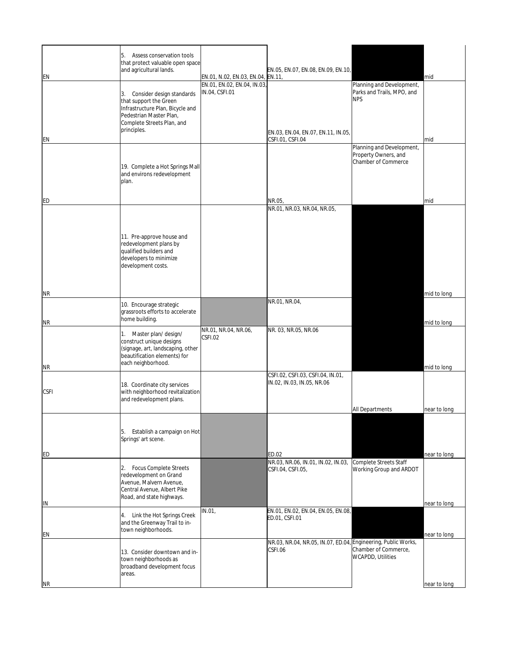| ΕN          | Assess conservation tools<br>5.<br>that protect valuable open space<br>and agricultural lands.                                                                        | EN.01, N.02, EN.03, EN.04, EN.11,             | EN.05, EN.07, EN.08, EN.09, EN.10,                                       |                                                                          | mid                          |
|-------------|-----------------------------------------------------------------------------------------------------------------------------------------------------------------------|-----------------------------------------------|--------------------------------------------------------------------------|--------------------------------------------------------------------------|------------------------------|
|             | Consider design standards<br>3.<br>that support the Green<br>Infrastructure Plan, Bicycle and<br>Pedestrian Master Plan,<br>Complete Streets Plan, and<br>principles. | EN.01, EN.02, EN.04, IN.03,<br>IN.04, CSFI.01 |                                                                          | Planning and Development,<br>Parks and Trails, MPO, and<br><b>NPS</b>    |                              |
| ΕN          |                                                                                                                                                                       |                                               | EN.03, EN.04, EN.07, EN.11, IN.05,<br>CSFI.01, CSFI.04                   |                                                                          | mid                          |
|             | 19. Complete a Hot Springs Mall<br>and environs redevelopment<br>plan.                                                                                                |                                               |                                                                          | Planning and Development,<br>Property Owners, and<br>Chamber of Commerce |                              |
| ED          |                                                                                                                                                                       |                                               | NR.05                                                                    |                                                                          | mid                          |
|             | 11. Pre-approve house and<br>redevelopment plans by<br>qualified builders and<br>developers to minimize<br>development costs.                                         |                                               | NR.01, NR.03, NR.04, NR.05,                                              |                                                                          |                              |
| <b>NR</b>   |                                                                                                                                                                       |                                               |                                                                          |                                                                          | mid to long                  |
| <b>NR</b>   | 10. Encourage strategic<br>grassroots efforts to accelerate<br>home building.                                                                                         |                                               | NR.01, NR.04,                                                            |                                                                          | mid to long                  |
| ΝR          | 1. Master plan/design/<br>construct unique designs<br>(signage, art, landscaping, other<br>beautification elements) for<br>each neighborhood.                         | NR.01, NR.04, NR.06,<br>CSFI.02               | NR. 03, NR.05, NR.06                                                     |                                                                          | mid to long                  |
| <b>CSFI</b> | 18. Coordinate city services<br>with neighborhood revitalization<br>and redevelopment plans.                                                                          |                                               | CSFI.02, CSFI.03, CSFI.04, IN.01,<br>IN.02, IN.03, IN.05, NR.06          | <b>All Departments</b>                                                   | near to long                 |
| ED          | Establish a campaign on Hot<br>5.<br>Springs' art scene.                                                                                                              |                                               | ED.02                                                                    |                                                                          | near to long                 |
|             | <b>Focus Complete Streets</b><br>2.<br>redevelopment on Grand<br>Avenue, Malvern Avenue,<br>Central Avenue, Albert Pike<br>Road, and state highways.                  |                                               | NR.03, NR.06, IN.01, IN.02, IN.03,<br>CSFI.04, CSFI.05,                  | Complete Streets Staff<br>Working Group and ARDOT                        |                              |
| IN<br>EN    | 4. Link the Hot Springs Creek<br>and the Greenway Trail to in-<br>town neighborhoods.                                                                                 | IN.01                                         | EN.01, EN.02, EN.04, EN.05, EN.08,<br>ED.01, CSFI.01                     |                                                                          | near to long<br>near to long |
|             | 13. Consider downtown and in-<br>town neighborhoods as<br>broadband development focus<br>areas.                                                                       |                                               | NR.03, NR.04, NR.05, IN.07, ED.04, Engineering, Public Works,<br>CSFI.06 | Chamber of Commerce,<br>WCAPDD, Utilities                                |                              |
| NR          |                                                                                                                                                                       |                                               |                                                                          |                                                                          | near to long                 |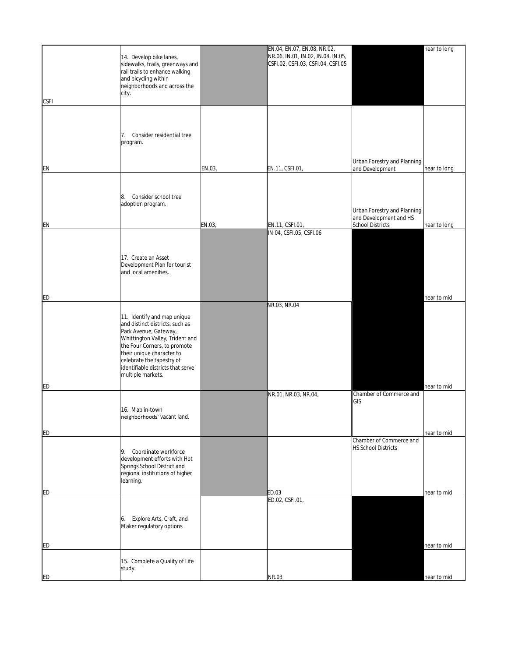|             |                                   |        | EN.04, EN.07, EN.08, NR.02,        |                             | near to long |
|-------------|-----------------------------------|--------|------------------------------------|-----------------------------|--------------|
|             | 14. Develop bike lanes,           |        | NR.06, IN.01, IN.02, IN.04, IN.05, |                             |              |
|             |                                   |        | CSFI.02, CSFI.03, CSFI.04, CSFI.05 |                             |              |
|             | sidewalks, trails, greenways and  |        |                                    |                             |              |
|             | rail trails to enhance walking    |        |                                    |                             |              |
|             | and bicycling within              |        |                                    |                             |              |
|             | neighborhoods and across the      |        |                                    |                             |              |
|             | city.                             |        |                                    |                             |              |
|             |                                   |        |                                    |                             |              |
| <b>CSFI</b> |                                   |        |                                    |                             |              |
|             |                                   |        |                                    |                             |              |
|             |                                   |        |                                    |                             |              |
|             |                                   |        |                                    |                             |              |
|             |                                   |        |                                    |                             |              |
|             | Consider residential tree<br>7.   |        |                                    |                             |              |
|             | program.                          |        |                                    |                             |              |
|             |                                   |        |                                    |                             |              |
|             |                                   |        |                                    |                             |              |
|             |                                   |        |                                    | Urban Forestry and Planning |              |
| EN          |                                   | EN.03, | EN.11, CSFI.01,                    | and Development             | near to long |
|             |                                   |        |                                    |                             |              |
|             |                                   |        |                                    |                             |              |
|             |                                   |        |                                    |                             |              |
|             | Consider school tree<br>8.        |        |                                    |                             |              |
|             |                                   |        |                                    |                             |              |
|             | adoption program.                 |        |                                    |                             |              |
|             |                                   |        |                                    | Urban Forestry and Planning |              |
|             |                                   |        |                                    | and Development and HS      |              |
| EN          |                                   | EN.03, | EN.11, CSFI.01,                    | <b>School Districts</b>     | near to long |
|             |                                   |        | IN.04, CSFI.05, CSFI.06            |                             |              |
|             |                                   |        |                                    |                             |              |
|             |                                   |        |                                    |                             |              |
|             |                                   |        |                                    |                             |              |
|             | 17. Create an Asset               |        |                                    |                             |              |
|             | Development Plan for tourist      |        |                                    |                             |              |
|             | and local amenities.              |        |                                    |                             |              |
|             |                                   |        |                                    |                             |              |
|             |                                   |        |                                    |                             |              |
|             |                                   |        |                                    |                             |              |
| ED          |                                   |        |                                    |                             | near to mid  |
|             |                                   |        |                                    |                             |              |
|             |                                   |        | NR.03, NR.04                       |                             |              |
|             | 11. Identify and map unique       |        |                                    |                             |              |
|             |                                   |        |                                    |                             |              |
|             | and distinct districts, such as   |        |                                    |                             |              |
|             | Park Avenue, Gateway,             |        |                                    |                             |              |
|             | Whittington Valley, Trident and   |        |                                    |                             |              |
|             | the Four Corners, to promote      |        |                                    |                             |              |
|             | their unique character to         |        |                                    |                             |              |
|             | celebrate the tapestry of         |        |                                    |                             |              |
|             | identifiable districts that serve |        |                                    |                             |              |
|             |                                   |        |                                    |                             |              |
|             | multiple markets.                 |        |                                    |                             |              |
| ED          |                                   |        |                                    |                             | near to mid  |
|             |                                   |        |                                    |                             |              |
|             |                                   |        | NR.01, NR.03, NR.04,               | Chamber of Commerce and     |              |
|             |                                   |        |                                    | GIS                         |              |
|             | 16. Map in-town                   |        |                                    |                             |              |
|             | neighborhoods' vacant land.       |        |                                    |                             |              |
|             |                                   |        |                                    |                             |              |
|             |                                   |        |                                    |                             |              |
| ED          |                                   |        |                                    |                             | near to mid  |
|             |                                   |        |                                    | Chamber of Commerce and     |              |
|             |                                   |        |                                    | <b>HS School Districts</b>  |              |
|             | 9. Coordinate workforce           |        |                                    |                             |              |
|             | development efforts with Hot      |        |                                    |                             |              |
|             | Springs School District and       |        |                                    |                             |              |
|             | regional institutions of higher   |        |                                    |                             |              |
|             | learning.                         |        |                                    |                             |              |
|             |                                   |        |                                    |                             |              |
| ED          |                                   |        | ED.03                              |                             | near to mid  |
|             |                                   |        | ED.02, CSFI.01,                    |                             |              |
|             |                                   |        |                                    |                             |              |
|             |                                   |        |                                    |                             |              |
|             | Explore Arts, Craft, and<br>6.    |        |                                    |                             |              |
|             | Maker regulatory options          |        |                                    |                             |              |
|             |                                   |        |                                    |                             |              |
|             |                                   |        |                                    |                             |              |
| ED          |                                   |        |                                    |                             | near to mid  |
|             |                                   |        |                                    |                             |              |
|             |                                   |        |                                    |                             |              |
|             | 15. Complete a Quality of Life    |        |                                    |                             |              |
|             | study.                            |        |                                    |                             |              |
| ED          |                                   |        | NR.03                              |                             | near to mid  |
|             |                                   |        |                                    |                             |              |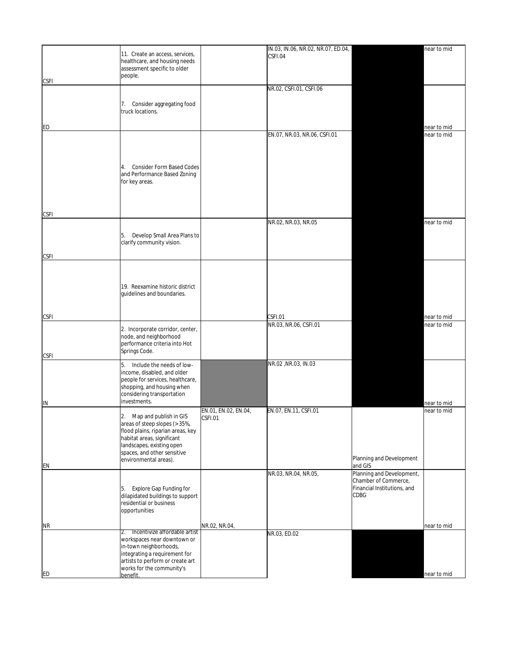|             |                                                                    |                      | IN.03, IN.06, NR.02, NR.07, ED.04, |                             | near to mid |
|-------------|--------------------------------------------------------------------|----------------------|------------------------------------|-----------------------------|-------------|
|             | 11. Create an access, services,                                    |                      | CSFI.04                            |                             |             |
|             | healthcare, and housing needs<br>assessment specific to older      |                      |                                    |                             |             |
|             | people.                                                            |                      |                                    |                             |             |
| <b>CSFI</b> |                                                                    |                      |                                    |                             |             |
|             |                                                                    |                      | NR.02, CSFI.01, CSFI.06            |                             |             |
|             |                                                                    |                      |                                    |                             |             |
|             | Consider aggregating food<br>7.                                    |                      |                                    |                             |             |
|             | truck locations.                                                   |                      |                                    |                             |             |
|             |                                                                    |                      |                                    |                             |             |
| <b>ED</b>   |                                                                    |                      |                                    |                             | near to mid |
|             |                                                                    |                      | EN.07, NR.03, NR.06, CSFI.01       |                             | near to mid |
|             |                                                                    |                      |                                    |                             |             |
|             |                                                                    |                      |                                    |                             |             |
|             |                                                                    |                      |                                    |                             |             |
|             | <b>Consider Form Based Codes</b><br>4.                             |                      |                                    |                             |             |
|             | and Performance Based Zoning                                       |                      |                                    |                             |             |
|             | for key areas.                                                     |                      |                                    |                             |             |
|             |                                                                    |                      |                                    |                             |             |
|             |                                                                    |                      |                                    |                             |             |
|             |                                                                    |                      |                                    |                             |             |
| <b>CSFI</b> |                                                                    |                      |                                    |                             |             |
|             |                                                                    |                      | NR.02, NR.03, NR.05                |                             | near to mid |
|             |                                                                    |                      |                                    |                             |             |
|             | Develop Small Area Plans to<br>5.                                  |                      |                                    |                             |             |
|             | clarify community vision.                                          |                      |                                    |                             |             |
| <b>CSFI</b> |                                                                    |                      |                                    |                             |             |
|             |                                                                    |                      |                                    |                             |             |
|             |                                                                    |                      |                                    |                             |             |
|             |                                                                    |                      |                                    |                             |             |
|             | 19. Reexamine historic district                                    |                      |                                    |                             |             |
|             | guidelines and boundaries.                                         |                      |                                    |                             |             |
|             |                                                                    |                      |                                    |                             |             |
|             |                                                                    |                      |                                    |                             |             |
| <b>CSFI</b> |                                                                    |                      | CSFI.01                            |                             | near to mid |
|             |                                                                    |                      | NR.03, NR.06, CSFI.01              |                             | near to mid |
|             | 2. Incorporate corridor, center,                                   |                      |                                    |                             |             |
|             | node, and neighborhood<br>performance criteria into Hot            |                      |                                    |                             |             |
|             | Springs Code.                                                      |                      |                                    |                             |             |
| <b>CSFI</b> |                                                                    |                      |                                    |                             |             |
|             | 5.<br>Include the needs of low-                                    |                      | NR.02, NR.03, IN.03                |                             |             |
|             | income, disabled, and older                                        |                      |                                    |                             |             |
|             | people for services, healthcare,                                   |                      |                                    |                             |             |
|             | shopping, and housing when                                         |                      |                                    |                             |             |
|             | considering transportation                                         |                      |                                    |                             |             |
| IN          | investments.                                                       |                      |                                    |                             | near to mid |
|             |                                                                    | EN.01, EN.02, EN.04, | EN.07, EN.11, CSFI.01              |                             | near to mid |
|             | 2. Map and publish in GIS                                          | CSFI.01              |                                    |                             |             |
|             | areas of steep slopes (> 35%,<br>flood plains, riparian areas, key |                      |                                    |                             |             |
|             | habitat areas, significant                                         |                      |                                    |                             |             |
|             | landscapes, existing open                                          |                      |                                    |                             |             |
|             | spaces, and other sensitive                                        |                      |                                    |                             |             |
|             | environmental areas).                                              |                      |                                    | Planning and Development    |             |
| EN          |                                                                    |                      |                                    | and GIS                     |             |
|             |                                                                    |                      | NR.03, NR.04, NR.05,               | Planning and Development,   |             |
|             |                                                                    |                      |                                    | Chamber of Commerce,        |             |
|             | Explore Gap Funding for<br>5.                                      |                      |                                    | Financial Institutions, and |             |
|             | dilapidated buildings to support                                   |                      |                                    | CDBG                        |             |
|             | residential or business                                            |                      |                                    |                             |             |
|             | opportunities                                                      |                      |                                    |                             |             |
| <b>NR</b>   |                                                                    | NR.02, NR.04,        |                                    |                             | near to mid |
|             | Incentivize affordable artist<br>2.                                |                      | NR.03, ED.02                       |                             |             |
|             | workspaces near downtown or                                        |                      |                                    |                             |             |
|             | in-town neighborhoods,                                             |                      |                                    |                             |             |
|             | integrating a requirement for                                      |                      |                                    |                             |             |
|             | artists to perform or create art                                   |                      |                                    |                             |             |
|             | works for the community's                                          |                      |                                    |                             |             |
| ED          | benefit.                                                           |                      |                                    |                             | near to mid |